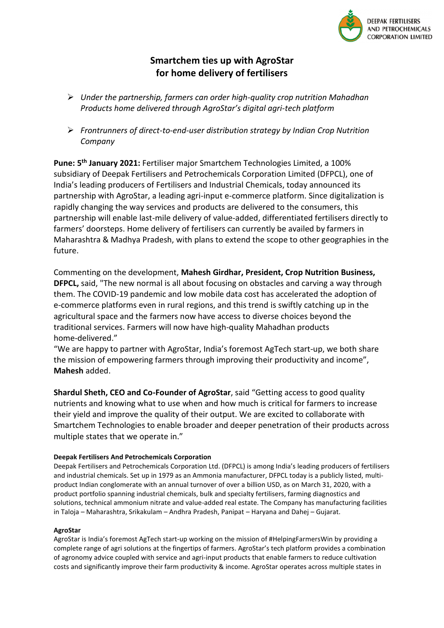

## **Smartchem ties up with AgroStar for home delivery of fertilisers**

- ➢ *Under the partnership, farmers can order high-quality crop nutrition Mahadhan Products home delivered through AgroStar's digital agri-tech platform*
- ➢ *Frontrunners of direct-to-end-user distribution strategy by Indian Crop Nutrition Company*

**Pune: 5 th January 2021:** Fertiliser major Smartchem Technologies Limited, a 100% subsidiary of Deepak Fertilisers and Petrochemicals Corporation Limited (DFPCL), one of India's leading producers of Fertilisers and Industrial Chemicals, today announced its partnership with AgroStar, a leading agri-input e-commerce platform. Since digitalization is rapidly changing the way services and products are delivered to the consumers, this partnership will enable last-mile delivery of value-added, differentiated fertilisers directly to farmers' doorsteps. Home delivery of fertilisers can currently be availed by farmers in Maharashtra & Madhya Pradesh, with plans to extend the scope to other geographies in the future.

Commenting on the development, **Mahesh Girdhar, President, Crop Nutrition Business, DFPCL,** said, "The new normal is all about focusing on obstacles and carving a way through them. The COVID-19 pandemic and low mobile data cost has accelerated the adoption of e-commerce platforms even in rural regions, and this trend is swiftly catching up in the agricultural space and the farmers now have access to diverse choices beyond the traditional services. Farmers will now have high-quality Mahadhan products home-delivered."

"We are happy to partner with AgroStar, India's foremost AgTech start-up, we both share the mission of empowering farmers through improving their productivity and income", **Mahesh** added.

**Shardul Sheth, CEO and Co-Founder of AgroStar**, said "Getting access to good quality nutrients and knowing what to use when and how much is critical for farmers to increase their yield and improve the quality of their output. We are excited to collaborate with Smartchem Technologies to enable broader and deeper penetration of their products across multiple states that we operate in."

## **Deepak Fertilisers And Petrochemicals Corporation**

Deepak Fertilisers and Petrochemicals Corporation Ltd. (DFPCL) is among India's leading producers of fertilisers and industrial chemicals. Set up in 1979 as an Ammonia manufacturer, DFPCL today is a publicly listed, multiproduct Indian conglomerate with an annual turnover of over a billion USD, as on March 31, 2020, with a product portfolio spanning industrial chemicals, bulk and specialty fertilisers, farming diagnostics and solutions, technical ammonium nitrate and value-added real estate. The Company has manufacturing facilities in Taloja – Maharashtra, Srikakulam – Andhra Pradesh, Panipat – Haryana and Dahej – Gujarat.

## **AgroStar**

AgroStar is India's foremost AgTech start-up working on the mission of #HelpingFarmersWin by providing a complete range of agri solutions at the fingertips of farmers. AgroStar's tech platform provides a combination of agronomy advice coupled with service and agri-input products that enable farmers to reduce cultivation costs and significantly improve their farm productivity & income. AgroStar operates across multiple states in